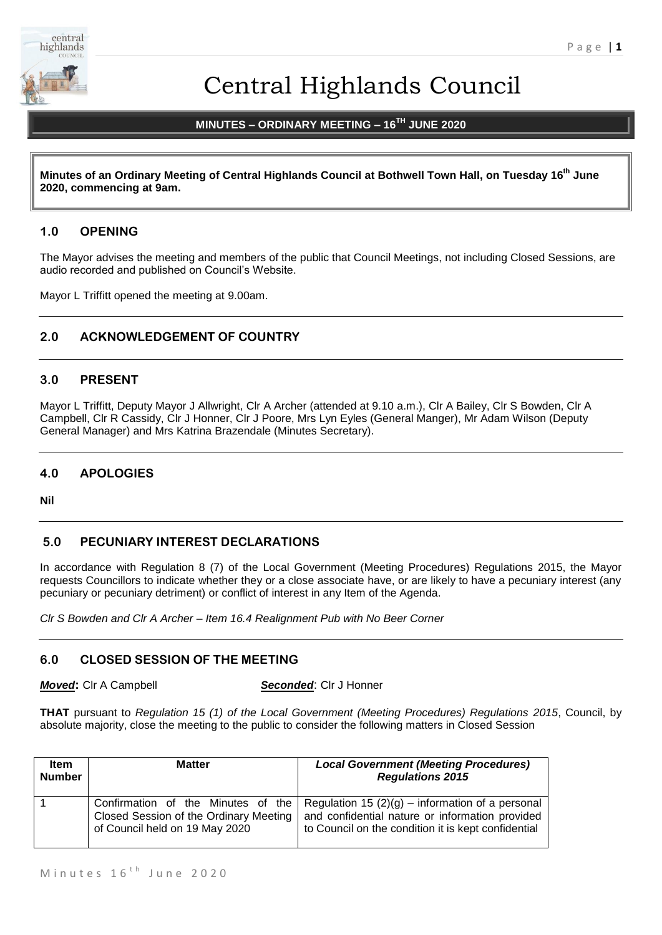

# Central Highlands Council

# **MINUTES – ORDINARY MEETING – 16 TH JUNE 2020**

**Minutes of an Ordinary Meeting of Central Highlands Council at Bothwell Town Hall, on Tuesday 16 th June 2020, commencing at 9am.**

# **1.0 OPENING**

The Mayor advises the meeting and members of the public that Council Meetings, not including Closed Sessions, are audio recorded and published on Council's Website.

Mayor L Triffitt opened the meeting at 9.00am.

# **2.0 ACKNOWLEDGEMENT OF COUNTRY**

# **3.0 PRESENT**

Mayor L Triffitt, Deputy Mayor J Allwright, Clr A Archer (attended at 9.10 a.m.), Clr A Bailey, Clr S Bowden, Clr A Campbell, Clr R Cassidy, Clr J Honner, Clr J Poore, Mrs Lyn Eyles (General Manger), Mr Adam Wilson (Deputy General Manager) and Mrs Katrina Brazendale (Minutes Secretary).

# **4.0 APOLOGIES**

**Nil**

# **5.0 PECUNIARY INTEREST DECLARATIONS**

In accordance with Regulation 8 (7) of the Local Government (Meeting Procedures) Regulations 2015, the Mayor requests Councillors to indicate whether they or a close associate have, or are likely to have a pecuniary interest (any pecuniary or pecuniary detriment) or conflict of interest in any Item of the Agenda.

*Clr S Bowden and Clr A Archer – Item 16.4 Realignment Pub with No Beer Corner*

# **6.0 CLOSED SESSION OF THE MEETING**

*Moved***:** Clr A Campbell *Seconded*: Clr J Honner

**THAT** pursuant to *Regulation 15 (1) of the Local Government (Meeting Procedures) Regulations 2015*, Council, by absolute majority, close the meeting to the public to consider the following matters in Closed Session

| <b>Item</b><br><b>Number</b> | <b>Matter</b>                                                                                                  | <b>Local Government (Meeting Procedures)</b><br><b>Regulations 2015</b>                                                                                      |
|------------------------------|----------------------------------------------------------------------------------------------------------------|--------------------------------------------------------------------------------------------------------------------------------------------------------------|
|                              | Confirmation of the Minutes of the<br>Closed Session of the Ordinary Meeting<br>of Council held on 19 May 2020 | Regulation 15 $(2)(g)$ – information of a personal<br>and confidential nature or information provided<br>to Council on the condition it is kept confidential |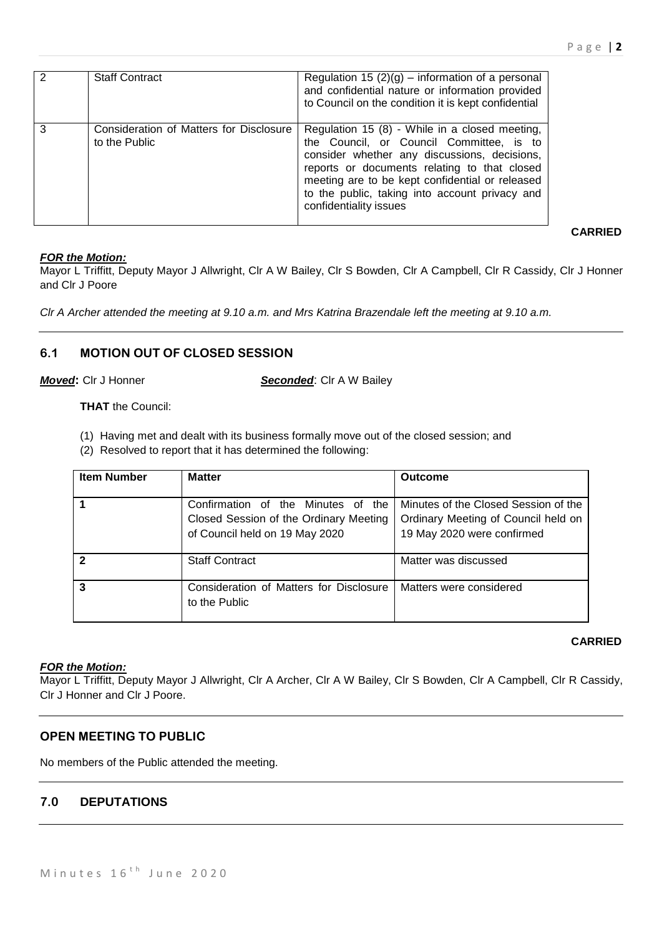|   | <b>Staff Contract</b>                                    | Regulation 15 $(2)(g)$ – information of a personal<br>and confidential nature or information provided<br>to Council on the condition it is kept confidential                                                                                                                                                              |
|---|----------------------------------------------------------|---------------------------------------------------------------------------------------------------------------------------------------------------------------------------------------------------------------------------------------------------------------------------------------------------------------------------|
| 3 | Consideration of Matters for Disclosure<br>to the Public | Regulation 15 (8) - While in a closed meeting,<br>the Council, or Council Committee, is to<br>consider whether any discussions, decisions,<br>reports or documents relating to that closed<br>meeting are to be kept confidential or released<br>to the public, taking into account privacy and<br>confidentiality issues |

# **CARRIED**

### *FOR the Motion:*

Mayor L Triffitt, Deputy Mayor J Allwright, Clr A W Bailey, Clr S Bowden, Clr A Campbell, Clr R Cassidy, Clr J Honner and Clr J Poore

*Clr A Archer attended the meeting at 9.10 a.m. and Mrs Katrina Brazendale left the meeting at 9.10 a.m.*

# **6.1 MOTION OUT OF CLOSED SESSION**

*Moved***:** Clr J Honner *Seconded*: Clr A W Bailey

**THAT** the Council:

- (1) Having met and dealt with its business formally move out of the closed session; and
- (2) Resolved to report that it has determined the following:

| <b>Item Number</b> | <b>Matter</b>                                                                                                  | <b>Outcome</b>                                                                                            |
|--------------------|----------------------------------------------------------------------------------------------------------------|-----------------------------------------------------------------------------------------------------------|
|                    | Confirmation of the Minutes of the<br>Closed Session of the Ordinary Meeting<br>of Council held on 19 May 2020 | Minutes of the Closed Session of the<br>Ordinary Meeting of Council held on<br>19 May 2020 were confirmed |
| $\overline{2}$     | <b>Staff Contract</b>                                                                                          | Matter was discussed                                                                                      |
| 3                  | Consideration of Matters for Disclosure<br>to the Public                                                       | Matters were considered                                                                                   |

# **CARRIED**

# *FOR the Motion:*

Mayor L Triffitt, Deputy Mayor J Allwright, Clr A Archer, Clr A W Bailey, Clr S Bowden, Clr A Campbell, Clr R Cassidy, Clr J Honner and Clr J Poore.

# **OPEN MEETING TO PUBLIC**

No members of the Public attended the meeting.

# **7.0 DEPUTATIONS**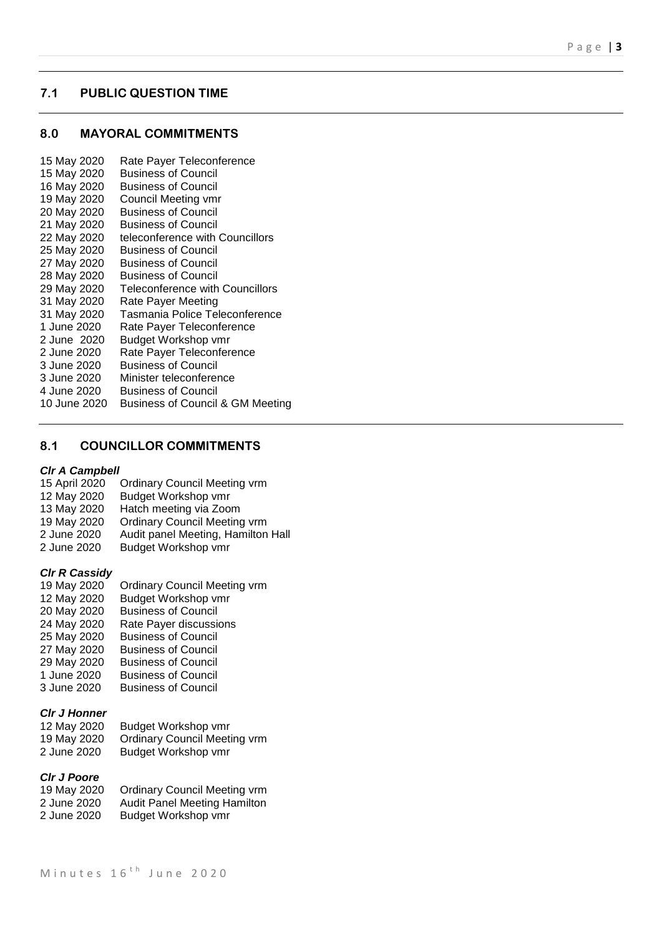| 7.1                      |                       | <b>PUBLIC QUESTION TIME</b>                 |
|--------------------------|-----------------------|---------------------------------------------|
| 8.0                      |                       | <b>MAYORAL COMMITMENTS</b>                  |
| 15 May 2020              |                       | Rate Payer Teleconference                   |
| 15 May 2020              |                       | <b>Business of Council</b>                  |
| 16 May 2020              |                       | <b>Business of Council</b>                  |
| 19 May 2020              |                       | Council Meeting vmr                         |
| 20 May 2020              |                       | <b>Business of Council</b>                  |
| 21 May 2020              |                       | <b>Business of Council</b>                  |
| 22 May 2020              |                       | teleconference with Councillors             |
| 25 May 2020              |                       | <b>Business of Council</b>                  |
| 27 May 2020              |                       | <b>Business of Council</b>                  |
| 28 May 2020              |                       | <b>Business of Council</b>                  |
| 29 May 2020              |                       | <b>Teleconference with Councillors</b>      |
| 31 May 2020              |                       | Rate Payer Meeting                          |
| 31 May 2020              |                       | Tasmania Police Teleconference              |
| 1 June 2020              |                       | Rate Payer Teleconference                   |
| 2 June 2020              |                       | Budget Workshop vmr                         |
| 2 June 2020              |                       | Rate Payer Teleconference                   |
| 3 June 2020              |                       | <b>Business of Council</b>                  |
| 3 June 2020              |                       | Minister teleconference                     |
| 4 June 2020              |                       | <b>Business of Council</b>                  |
| 10 June 2020             |                       | <b>Business of Council &amp; GM Meeting</b> |
| 8.1                      |                       | <b>COUNCILLOR COMMITMENTS</b>               |
|                          |                       |                                             |
| 15 April 2020            | <b>Cir A Campbell</b> | <b>Ordinary Council Meeting vrm</b>         |
| 12 May 2020              |                       | Budget Workshop vmr                         |
| 13 May 2020              |                       | Hatch meeting via Zoom                      |
| 19 May 2020              |                       | <b>Ordinary Council Meeting vrm</b>         |
| 2 June 2020              |                       | Audit panel Meeting, Hamilton Hall          |
| 2 June 2020              |                       | Budget Workshop vmr                         |
| <b>CIr R Cassidy</b>     |                       |                                             |
| 19 May 2020              |                       | <b>Ordinary Council Meeting vrm</b>         |
| 12 May 2020              |                       | Budget Workshop vmr                         |
| 20 May 2020              |                       | <b>Business of Council</b>                  |
| 24 May 2020              |                       | Rate Payer discussions                      |
| 25 May 2020              |                       | <b>Business of Council</b>                  |
| 27 May 2020              |                       | <b>Business of Council</b>                  |
| 29 May 2020              |                       | <b>Business of Council</b>                  |
| 1 June 2020              |                       | <b>Business of Council</b>                  |
| 3 June 2020              |                       | <b>Business of Council</b>                  |
| <b>CIr J Honner</b>      |                       |                                             |
| 12 May 2020              |                       | Budget Workshop vmr                         |
| 19 May 2020              |                       | <b>Ordinary Council Meeting vrm</b>         |
| 2 June 2020              |                       | Budget Workshop vmr                         |
|                          |                       |                                             |
| <b>CIr J Poore</b>       |                       |                                             |
| 19 May 2020              |                       | <b>Ordinary Council Meeting vrm</b>         |
| 2 June 2020              |                       | <b>Audit Panel Meeting Hamilton</b>         |
| 2 June 2020              |                       | Budget Workshop vmr                         |
|                          |                       |                                             |
|                          |                       |                                             |
| Minutes 16 <sup>th</sup> |                       | June 2020                                   |

# **8.1 COUNCILLOR COMMITMENTS**

#### *Clr A Campbell*

| 15 April 2020 | <b>Ordinary Council Meeting vrm</b> |
|---------------|-------------------------------------|
| 12 May 2020   | Budget Workshop vmr                 |
| 13 May 2020   | Hatch meeting via Zoom              |
| 19 May 2020   | <b>Ordinary Council Meeting vrm</b> |
| 2 June 2020   | Audit panel Meeting, Hamilton Hall  |
| 2 June 2020   | Budget Workshop vmr                 |

#### *Clr R Cassidy*

| 19 May 2020 | <b>Ordinary Council Meeting vrm</b> |
|-------------|-------------------------------------|
| 12 May 2020 | Budget Workshop vmr                 |
| 20 May 2020 | <b>Business of Council</b>          |
| 24 May 2020 | Rate Payer discussions              |
| 25 May 2020 | <b>Business of Council</b>          |
| 27 May 2020 | <b>Business of Council</b>          |
| 29 May 2020 | <b>Business of Council</b>          |
| 1 June 2020 | <b>Business of Council</b>          |
| 3 June 2020 | <b>Business of Council</b>          |
|             |                                     |

# *Clr J Honner*

| 12 May 2020 | Budget Workshop vmr                 |
|-------------|-------------------------------------|
| 19 May 2020 | <b>Ordinary Council Meeting vrm</b> |
| 2 June 2020 | Budget Workshop vmr                 |

# *Clr J Poore*

| 19 May 2020 | <b>Ordinary Council Meeting vrm</b> |
|-------------|-------------------------------------|
| 2 June 2020 | <b>Audit Panel Meeting Hamilton</b> |
| 2 June 2020 | Budget Workshop vmr                 |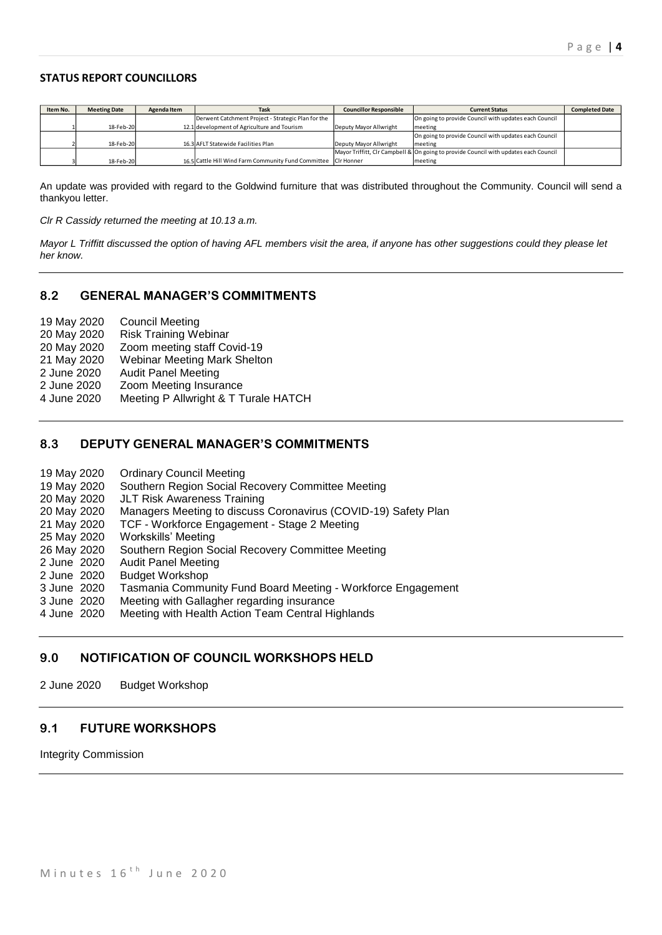### **STATUS REPORT COUNCILLORS**

| Item No. | <b>Meeting Date</b> | Agenda Item | Task                                                           | <b>Councillor Responsible</b> | <b>Current Status</b>                                                                | <b>Completed Date</b> |
|----------|---------------------|-------------|----------------------------------------------------------------|-------------------------------|--------------------------------------------------------------------------------------|-----------------------|
|          |                     |             | Derwent Catchment Project - Strategic Plan for the             |                               | On going to provide Council with updates each Council                                |                       |
|          | 18-Feb-20           |             | 12.1 development of Agriculture and Tourism                    | Deputy Mayor Allwright        | meeting                                                                              |                       |
|          |                     |             |                                                                |                               | On going to provide Council with updates each Council                                |                       |
|          | 18-Feb-20           |             | 16.3 AFLT Statewide Facilities Plan                            | Deputy Mayor Allwright        | meeting                                                                              |                       |
|          |                     |             |                                                                |                               | Mayor Triffitt, Clr Campbell & On going to provide Council with updates each Council |                       |
|          | 18-Feb-20           |             | 16.5 Cattle Hill Wind Farm Community Fund Committee CIr Honner |                               | meeting                                                                              |                       |

An update was provided with regard to the Goldwind furniture that was distributed throughout the Community. Council will send a thankyou letter.

*Clr R Cassidy returned the meeting at 10.13 a.m.*

*Mayor L Triffitt discussed the option of having AFL members visit the area, if anyone has other suggestions could they please let her know.*

# **8.2 GENERAL MANAGER'S COMMITMENTS**

| 19 May 2020 | <b>Council Meeting</b>               |
|-------------|--------------------------------------|
| 20 May 2020 | <b>Risk Training Webinar</b>         |
| 20 May 2020 | Zoom meeting staff Covid-19          |
| 21 May 2020 | Webinar Meeting Mark Shelton         |
| 2 June 2020 | <b>Audit Panel Meeting</b>           |
| 2 June 2020 | Zoom Meeting Insurance               |
| 4 June 2020 | Meeting P Allwright & T Turale HATCH |

# **8.3 DEPUTY GENERAL MANAGER'S COMMITMENTS**

| 19 May 2020 | <b>Ordinary Council Meeting</b>                                |
|-------------|----------------------------------------------------------------|
| 19 May 2020 | Southern Region Social Recovery Committee Meeting              |
| 20 May 2020 | <b>JLT Risk Awareness Training</b>                             |
| 20 May 2020 | Managers Meeting to discuss Coronavirus (COVID-19) Safety Plan |
| 21 May 2020 | TCF - Workforce Engagement - Stage 2 Meeting                   |
| 25 May 2020 | Workskills' Meeting                                            |
| 26 May 2020 | Southern Region Social Recovery Committee Meeting              |
| 2 June 2020 | <b>Audit Panel Meeting</b>                                     |
| 2 June 2020 | <b>Budget Workshop</b>                                         |
| 3 June 2020 | Tasmania Community Fund Board Meeting - Workforce Engagement   |
| 3 June 2020 | Meeting with Gallagher regarding insurance                     |
| 4 June 2020 | Meeting with Health Action Team Central Highlands              |

# **9.0 NOTIFICATION OF COUNCIL WORKSHOPS HELD**

2 June 2020 Budget Workshop

# **9.1 FUTURE WORKSHOPS**

Integrity Commission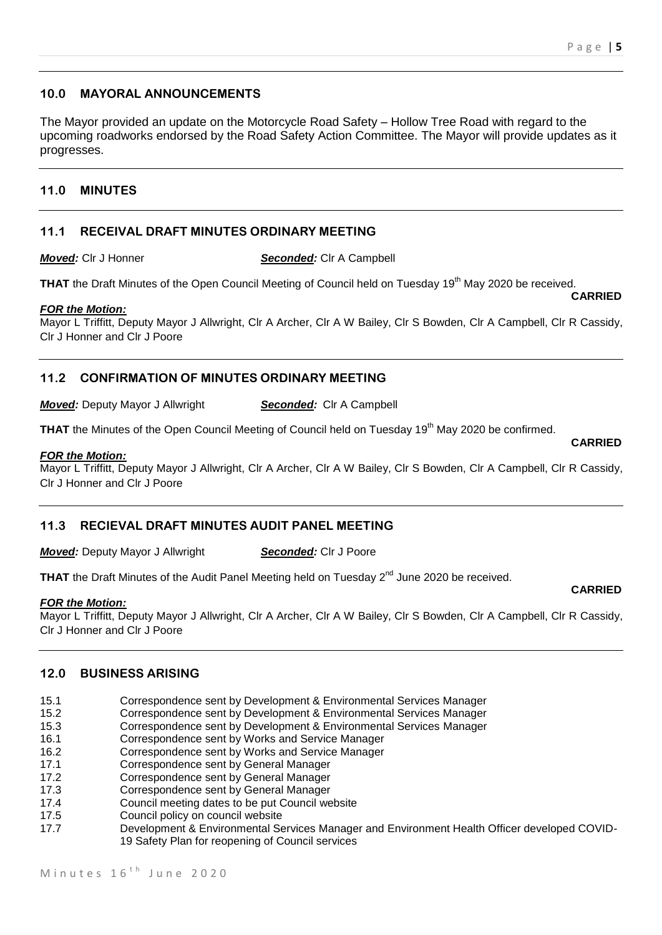# **10.0 MAYORAL ANNOUNCEMENTS**

The Mayor provided an update on the Motorcycle Road Safety – Hollow Tree Road with regard to the upcoming roadworks endorsed by the Road Safety Action Committee. The Mayor will provide updates as it progresses.

# **11.0 MINUTES**

### **11.1 RECEIVAL DRAFT MINUTES ORDINARY MEETING**

*Moved:* Clr J Honner *Seconded:* Clr A Campbell

**THAT** the Draft Minutes of the Open Council Meeting of Council held on Tuesday 19<sup>th</sup> May 2020 be received.

#### *FOR the Motion:*

Mayor L Triffitt, Deputy Mayor J Allwright, Clr A Archer, Clr A W Bailey, Clr S Bowden, Clr A Campbell, Clr R Cassidy, Clr J Honner and Clr J Poore

# **11.2 CONFIRMATION OF MINUTES ORDINARY MEETING**

*Moved:* Deputy Mayor J Allwright *Seconded:* Clr A Campbell

**THAT** the Minutes of the Open Council Meeting of Council held on Tuesday 19<sup>th</sup> May 2020 be confirmed.

#### *FOR the Motion:*

Mayor L Triffitt, Deputy Mayor J Allwright, Clr A Archer, Clr A W Bailey, Clr S Bowden, Clr A Campbell, Clr R Cassidy, Clr J Honner and Clr J Poore

### **11.3 RECIEVAL DRAFT MINUTES AUDIT PANEL MEETING**

*Moved:* Deputy Mayor J Allwright *Seconded:* Clr J Poore

**THAT** the Draft Minutes of the Audit Panel Meeting held on Tuesday 2<sup>nd</sup> June 2020 be received.

#### *FOR the Motion:*

Mayor L Triffitt, Deputy Mayor J Allwright, Clr A Archer, Clr A W Bailey, Clr S Bowden, Clr A Campbell, Clr R Cassidy, Clr J Honner and Clr J Poore

#### **12.0 BUSINESS ARISING**

- 15.1 Correspondence sent by Development & Environmental Services Manager
- 15.2 Correspondence sent by Development & Environmental Services Manager
- 15.3 Correspondence sent by Development & Environmental Services Manager

16.1 Correspondence sent by Works and Service Manager

- 16.2 Correspondence sent by Works and Service Manager
- 17.1 Correspondence sent by General Manager
- 17.2 Correspondence sent by General Manager
- 17.3 Correspondence sent by General Manager
- 17.4 Council meeting dates to be put Council website
- 17.5 Council policy on council website
- 17.7 Development & Environmental Services Manager and Environment Health Officer developed COVID-19 Safety Plan for reopening of Council services

**CARRIED**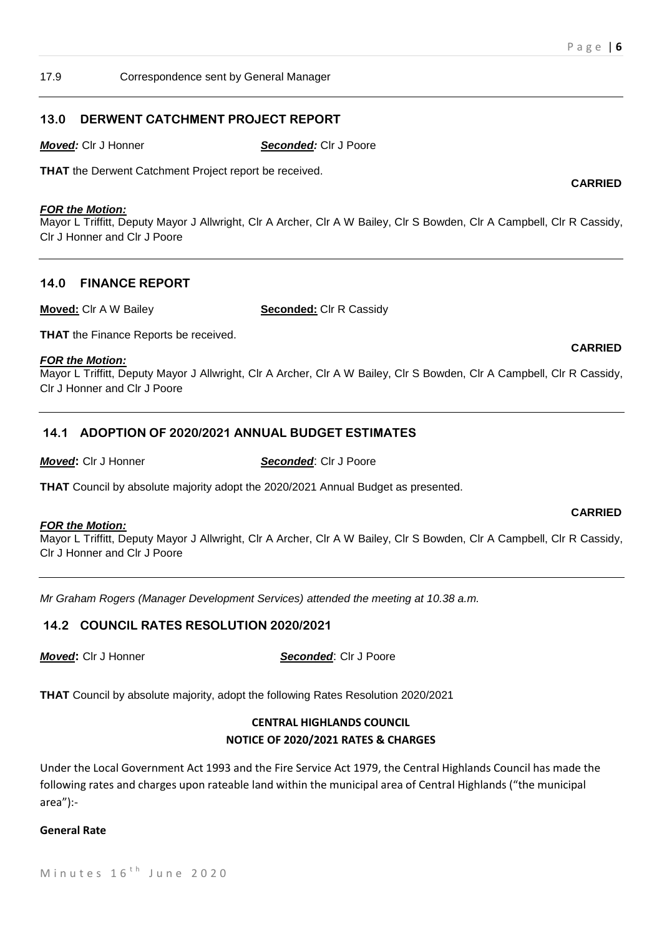**CARRIED**

**CARRIED**

**CARRIED**

17.9 Correspondence sent by General Manager

# **13.0 DERWENT CATCHMENT PROJECT REPORT**

*Moved:* Clr J Honner *Seconded:* Clr J Poore

**THAT** the Derwent Catchment Project report be received.

### *FOR the Motion:*

Mayor L Triffitt, Deputy Mayor J Allwright, Clr A Archer, Clr A W Bailey, Clr S Bowden, Clr A Campbell, Clr R Cassidy, Clr J Honner and Clr J Poore

# **14.0 FINANCE REPORT**

**Moved:** Clr A W Bailey **Seconded:** Clr R Cassidy

**THAT** the Finance Reports be received.

### *FOR the Motion:*

Mayor L Triffitt, Deputy Mayor J Allwright, Clr A Archer, Clr A W Bailey, Clr S Bowden, Clr A Campbell, Clr R Cassidy, Clr J Honner and Clr J Poore

# **14.1 ADOPTION OF 2020/2021 ANNUAL BUDGET ESTIMATES**

*Moved***: Cir J Honner <b>Seconded**: Cir J Poore

**THAT** Council by absolute majority adopt the 2020/2021 Annual Budget as presented.

#### *FOR the Motion:*

Mayor L Triffitt, Deputy Mayor J Allwright, Clr A Archer, Clr A W Bailey, Clr S Bowden, Clr A Campbell, Clr R Cassidy, Clr J Honner and Clr J Poore

*Mr Graham Rogers (Manager Development Services) attended the meeting at 10.38 a.m.*

# **14.2 COUNCIL RATES RESOLUTION 2020/2021**

*Moved***:** Clr J Honner *Seconded*: Clr J Poore

**THAT** Council by absolute majority, adopt the following Rates Resolution 2020/2021

# **CENTRAL HIGHLANDS COUNCIL NOTICE OF 2020/2021 RATES & CHARGES**

Under the Local Government Act 1993 and the Fire Service Act 1979, the Central Highlands Council has made the following rates and charges upon rateable land within the municipal area of Central Highlands ("the municipal area"):-

# **General Rate**

Minutes  $16<sup>th</sup>$  June 2020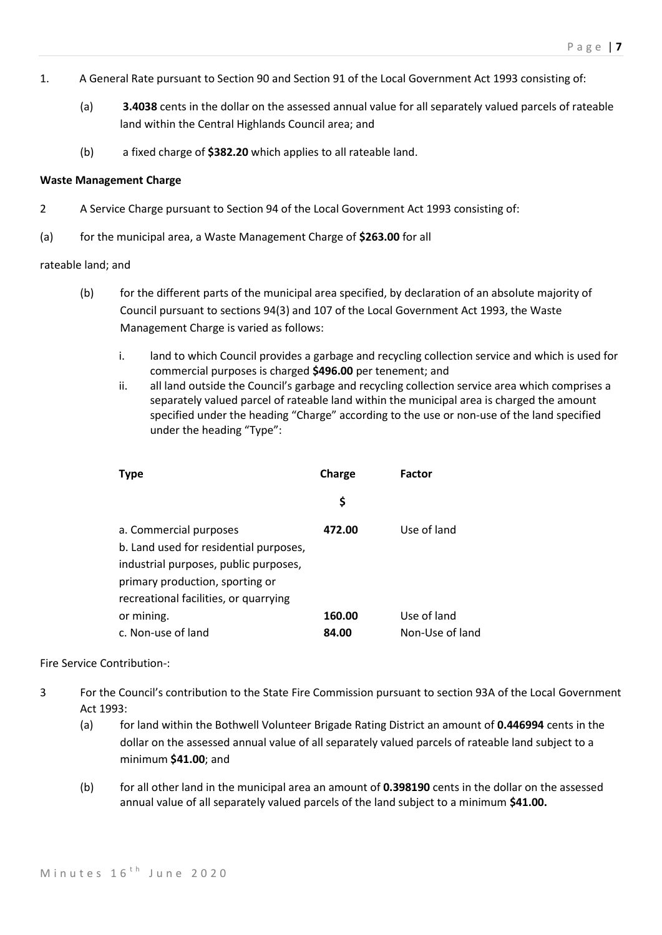- 1. A General Rate pursuant to Section 90 and Section 91 of the Local Government Act 1993 consisting of:
	- (a) **3.4038** cents in the dollar on the assessed annual value for all separately valued parcels of rateable land within the Central Highlands Council area; and
	- (b) a fixed charge of **\$382.20** which applies to all rateable land.

# **Waste Management Charge**

- 2 A Service Charge pursuant to Section 94 of the Local Government Act 1993 consisting of:
- (a) for the municipal area, a Waste Management Charge of **\$263.00** for all

# rateable land; and

- (b) for the different parts of the municipal area specified, by declaration of an absolute majority of Council pursuant to sections 94(3) and 107 of the Local Government Act 1993, the Waste Management Charge is varied as follows:
	- i. land to which Council provides a garbage and recycling collection service and which is used for commercial purposes is charged **\$496.00** per tenement; and
	- ii. all land outside the Council's garbage and recycling collection service area which comprises a separately valued parcel of rateable land within the municipal area is charged the amount specified under the heading "Charge" according to the use or non-use of the land specified under the heading "Type":

| <b>Type</b>                            | Charge | <b>Factor</b>   |
|----------------------------------------|--------|-----------------|
|                                        | \$     |                 |
| a. Commercial purposes                 | 472.00 | Use of land     |
| b. Land used for residential purposes, |        |                 |
| industrial purposes, public purposes,  |        |                 |
| primary production, sporting or        |        |                 |
| recreational facilities, or quarrying  |        |                 |
| or mining.                             | 160.00 | Use of land     |
| c. Non-use of land                     | 84.00  | Non-Use of land |

# Fire Service Contribution-:

- 3 For the Council's contribution to the State Fire Commission pursuant to section 93A of the Local Government Act 1993:
	- (a) for land within the Bothwell Volunteer Brigade Rating District an amount of **0.446994** cents in the dollar on the assessed annual value of all separately valued parcels of rateable land subject to a minimum **\$41.00**; and
	- (b) for all other land in the municipal area an amount of **0.398190** cents in the dollar on the assessed annual value of all separately valued parcels of the land subject to a minimum **\$41.00.**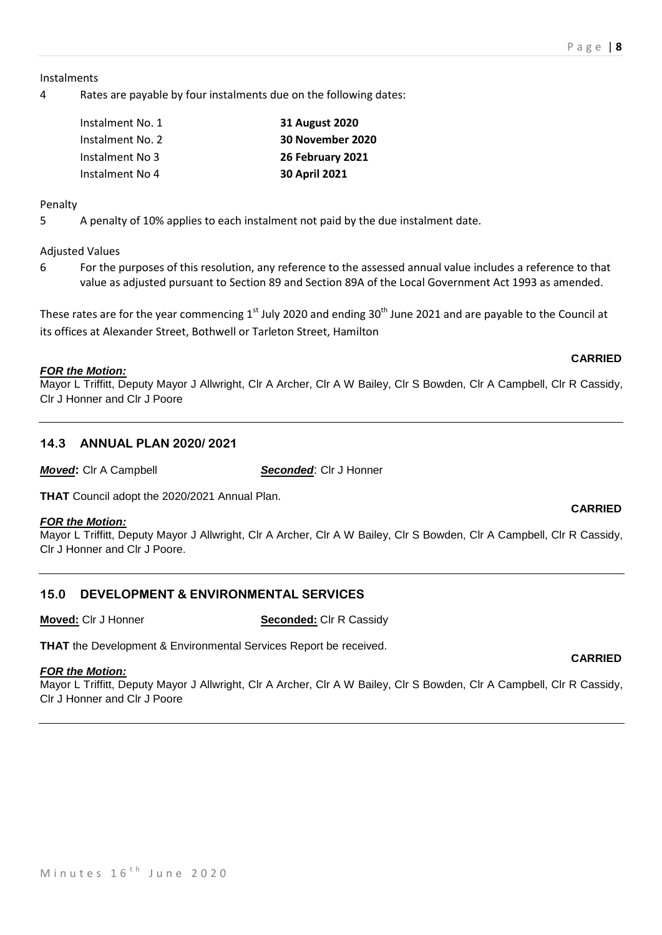Instalments

4 Rates are payable by four instalments due on the following dates:

| <b>31 August 2020</b> |
|-----------------------|
| 30 November 2020      |
| 26 February 2021      |
| <b>30 April 2021</b>  |
|                       |

Penalty

5 A penalty of 10% applies to each instalment not paid by the due instalment date.

Adjusted Values

6 For the purposes of this resolution, any reference to the assessed annual value includes a reference to that value as adjusted pursuant to Section 89 and Section 89A of the Local Government Act 1993 as amended.

These rates are for the year commencing  $1<sup>st</sup>$  July 2020 and ending 30<sup>th</sup> June 2021 and are payable to the Council at its offices at Alexander Street, Bothwell or Tarleton Street, Hamilton

### **CARRIED**

*FOR the Motion:* Mayor L Triffitt, Deputy Mayor J Allwright, Clr A Archer, Clr A W Bailey, Clr S Bowden, Clr A Campbell, Clr R Cassidy, Clr J Honner and Clr J Poore

# **14.3 ANNUAL PLAN 2020/ 2021**

*Moved***:** Clr A Campbell *Seconded*: Clr J Honner

**THAT** Council adopt the 2020/2021 Annual Plan.

# *FOR the Motion:*

Mayor L Triffitt, Deputy Mayor J Allwright, Clr A Archer, Clr A W Bailey, Clr S Bowden, Clr A Campbell, Clr R Cassidy, Clr J Honner and Clr J Poore.

# **15.0 DEVELOPMENT & ENVIRONMENTAL SERVICES**

**Moved:** Clr J Honner **Seconded:** Clr R Cassidy

**THAT** the Development & Environmental Services Report be received.

# *FOR the Motion:*

Mayor L Triffitt, Deputy Mayor J Allwright, Clr A Archer, Clr A W Bailey, Clr S Bowden, Clr A Campbell, Clr R Cassidy, Clr J Honner and Clr J Poore

# **CARRIED**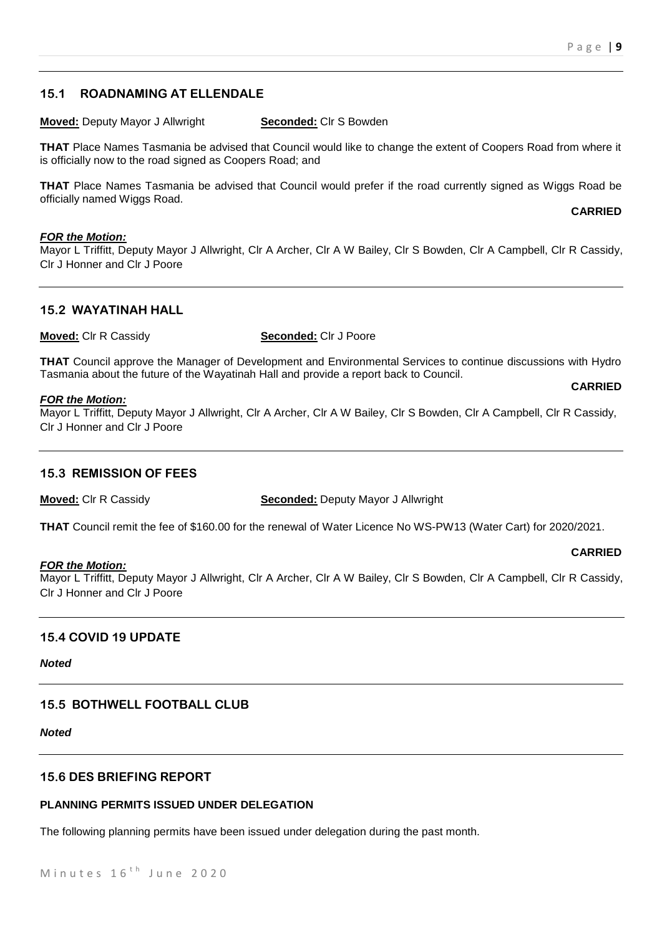# **15.1 ROADNAMING AT ELLENDALE**

**Moved:** Deputy Mayor J Allwright **Seconded:** Clr S Bowden

**THAT** Place Names Tasmania be advised that Council would like to change the extent of Coopers Road from where it is officially now to the road signed as Coopers Road; and

**THAT** Place Names Tasmania be advised that Council would prefer if the road currently signed as Wiggs Road be officially named Wiggs Road.

**CARRIED**

#### *FOR the Motion:*

Mayor L Triffitt, Deputy Mayor J Allwright, Clr A Archer, Clr A W Bailey, Clr S Bowden, Clr A Campbell, Clr R Cassidy, Clr J Honner and Clr J Poore

# **15.2 WAYATINAH HALL**

**Moved:** Clr R Cassidy **Seconded:** Clr J Poore

**THAT** Council approve the Manager of Development and Environmental Services to continue discussions with Hydro Tasmania about the future of the Wayatinah Hall and provide a report back to Council.

### *FOR the Motion:*

Mayor L Triffitt, Deputy Mayor J Allwright, Clr A Archer, Clr A W Bailey, Clr S Bowden, Clr A Campbell, Clr R Cassidy, Clr J Honner and Clr J Poore

# **15.3 REMISSION OF FEES**

**Moved:** Clr R Cassidy **Seconded:** Deputy Mayor J Allwright

**THAT** Council remit the fee of \$160.00 for the renewal of Water Licence No WS-PW13 (Water Cart) for 2020/2021.

#### *FOR the Motion:*

Mayor L Triffitt, Deputy Mayor J Allwright, Clr A Archer, Clr A W Bailey, Clr S Bowden, Clr A Campbell, Clr R Cassidy, Clr J Honner and Clr J Poore

# **15.4 COVID 19 UPDATE**

*Noted*

# **15.5 BOTHWELL FOOTBALL CLUB**

*Noted*

# **15.6 DES BRIEFING REPORT**

# **PLANNING PERMITS ISSUED UNDER DELEGATION**

The following planning permits have been issued under delegation during the past month.

# **CARRIED**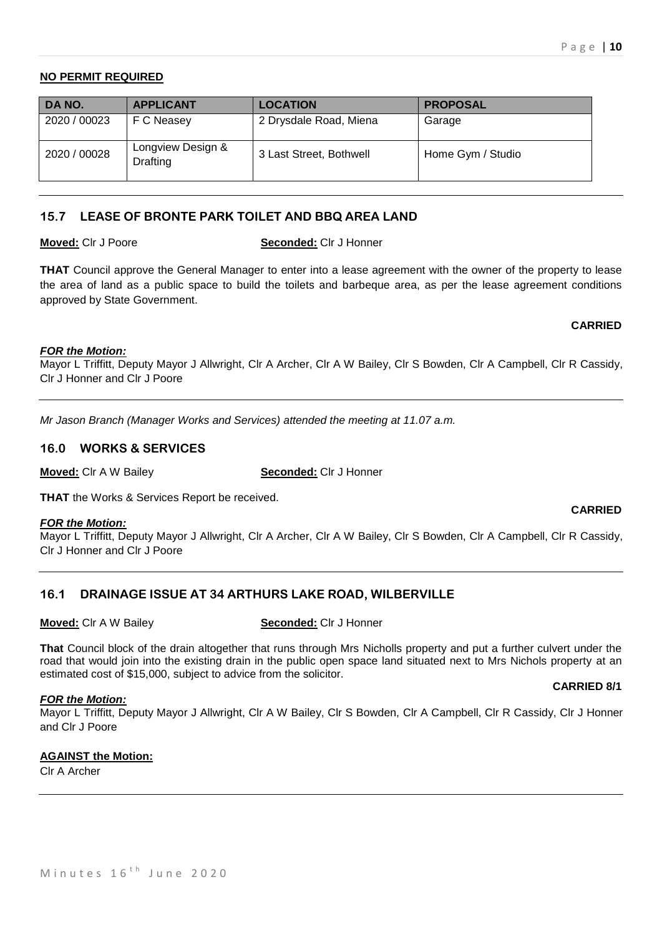# **NO PERMIT REQUIRED**

| DA NO.       | <b>APPLICANT</b>              | <b>LOCATION</b>         | <b>PROPOSAL</b>   |
|--------------|-------------------------------|-------------------------|-------------------|
| 2020 / 00023 | F C Neasey                    | 2 Drysdale Road, Miena  | Garage            |
| 2020 / 00028 | Longview Design &<br>Drafting | 3 Last Street, Bothwell | Home Gym / Studio |

# **15.7 LEASE OF BRONTE PARK TOILET AND BBQ AREA LAND**

**Moved:** Clr J Poore **Seconded:** Clr J Honner

**THAT** Council approve the General Manager to enter into a lease agreement with the owner of the property to lease the area of land as a public space to build the toilets and barbeque area, as per the lease agreement conditions approved by State Government.

# **CARRIED**

# *FOR the Motion:*

Mayor L Triffitt, Deputy Mayor J Allwright, Clr A Archer, Clr A W Bailey, Clr S Bowden, Clr A Campbell, Clr R Cassidy, Clr J Honner and Clr J Poore

*Mr Jason Branch (Manager Works and Services) attended the meeting at 11.07 a.m.*

# **16.0 WORKS & SERVICES**

**Moved:** Clr A W Bailey **Seconded:** Clr J Honner

**THAT** the Works & Services Report be received.

# *FOR the Motion:*

Mayor L Triffitt, Deputy Mayor J Allwright, Clr A Archer, Clr A W Bailey, Clr S Bowden, Clr A Campbell, Clr R Cassidy, Clr J Honner and Clr J Poore

# **16.1 DRAINAGE ISSUE AT 34 ARTHURS LAKE ROAD, WILBERVILLE**

**Moved:** Clr A W Bailey **Seconded:** Clr J Honner

**That** Council block of the drain altogether that runs through Mrs Nicholls property and put a further culvert under the road that would join into the existing drain in the public open space land situated next to Mrs Nichols property at an estimated cost of \$15,000, subject to advice from the solicitor.

# **CARRIED 8/1**

*FOR the Motion:* Mayor L Triffitt, Deputy Mayor J Allwright, Clr A W Bailey, Clr S Bowden, Clr A Campbell, Clr R Cassidy, Clr J Honner and Clr J Poore

# **AGAINST the Motion:**

Clr A Archer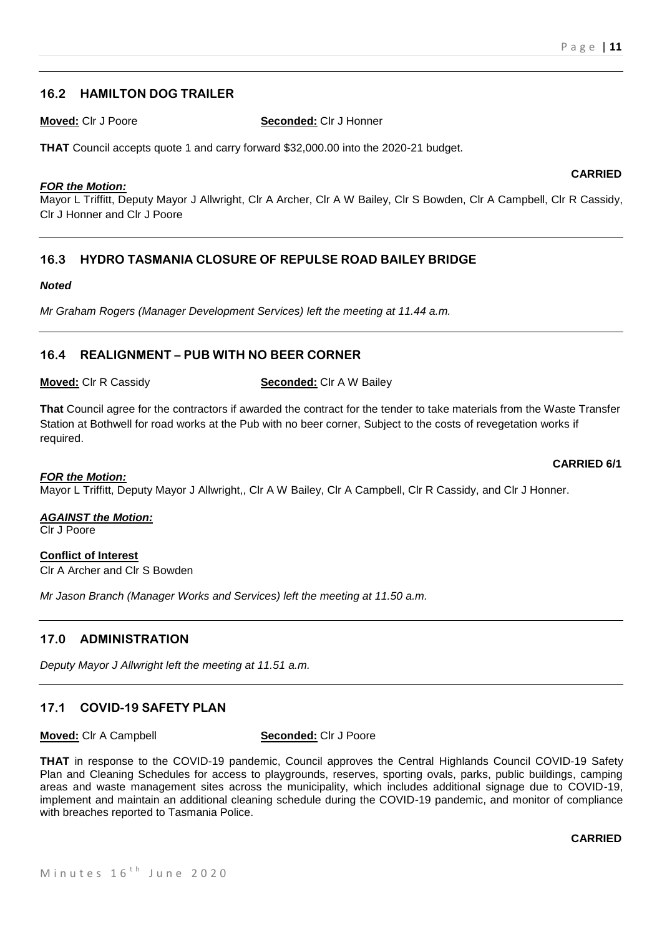# **16.2 HAMILTON DOG TRAILER**

**Moved:** Clr J Poore **Seconded:** Clr J Honner

**THAT** Council accepts quote 1 and carry forward \$32,000.00 into the 2020-21 budget.

# *FOR the Motion:*

Mayor L Triffitt, Deputy Mayor J Allwright, Clr A Archer, Clr A W Bailey, Clr S Bowden, Clr A Campbell, Clr R Cassidy, Clr J Honner and Clr J Poore

# **16.3 HYDRO TASMANIA CLOSURE OF REPULSE ROAD BAILEY BRIDGE**

### *Noted*

*Mr Graham Rogers (Manager Development Services) left the meeting at 11.44 a.m.*

# **16.4 REALIGNMENT – PUB WITH NO BEER CORNER**

**Moved:** Clr R Cassidy **Seconded:** Clr A W Bailey

**That** Council agree for the contractors if awarded the contract for the tender to take materials from the Waste Transfer Station at Bothwell for road works at the Pub with no beer corner, Subject to the costs of revegetation works if required.

#### *FOR the Motion:*

Mayor L Triffitt, Deputy Mayor J Allwright,, Clr A W Bailey, Clr A Campbell, Clr R Cassidy, and Clr J Honner.

# *AGAINST the Motion:*

Clr J Poore

# **Conflict of Interest**

Clr A Archer and Clr S Bowden

*Mr Jason Branch (Manager Works and Services) left the meeting at 11.50 a.m.*

# **17.0 ADMINISTRATION**

*Deputy Mayor J Allwright left the meeting at 11.51 a.m.*

# **17.1 COVID-19 SAFETY PLAN**

#### **Moved:** Clr A Campbell **Seconded:** Clr J Poore

**THAT** in response to the COVID-19 pandemic, Council approves the Central Highlands Council COVID-19 Safety Plan and Cleaning Schedules for access to playgrounds, reserves, sporting ovals, parks, public buildings, camping areas and waste management sites across the municipality, which includes additional signage due to COVID-19, implement and maintain an additional cleaning schedule during the COVID-19 pandemic, and monitor of compliance with breaches reported to Tasmania Police.

### **CARRIED 6/1**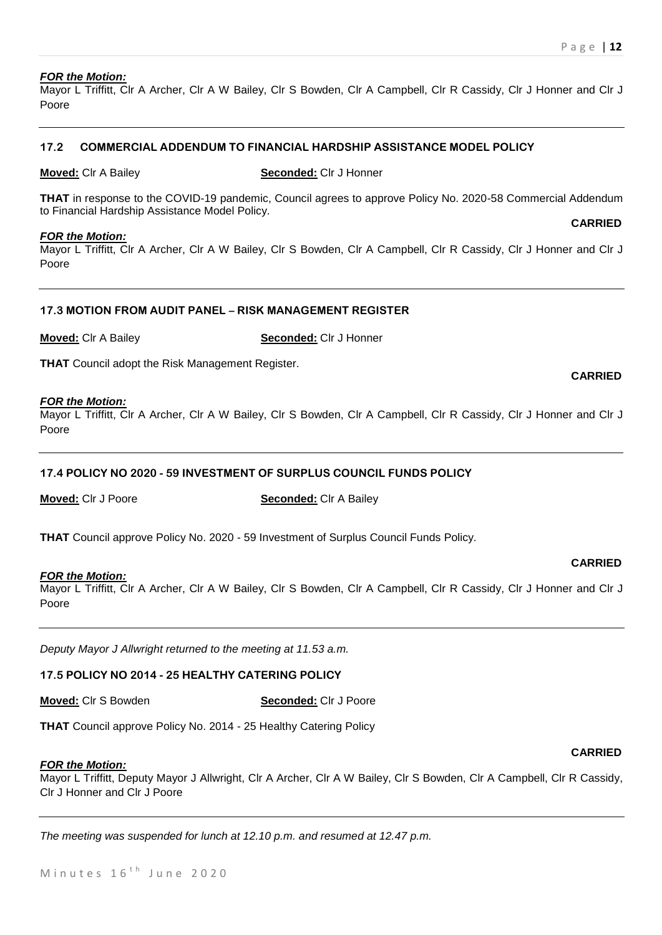#### *FOR the Motion:*

Mayor L Triffitt, Clr A Archer, Clr A W Bailey, Clr S Bowden, Clr A Campbell, Clr R Cassidy, Clr J Honner and Clr J Poore

### **17.2 COMMERCIAL ADDENDUM TO FINANCIAL HARDSHIP ASSISTANCE MODEL POLICY**

# **Moved:** Clr A Bailey **Seconded:** Clr J Honner

**THAT** in response to the COVID-19 pandemic, Council agrees to approve Policy No. 2020-58 Commercial Addendum to Financial Hardship Assistance Model Policy. **CARRIED**

#### *FOR the Motion:*

Mayor L Triffitt, Clr A Archer, Clr A W Bailey, Clr S Bowden, Clr A Campbell, Clr R Cassidy, Clr J Honner and Clr J Poore

#### **17.3 MOTION FROM AUDIT PANEL – RISK MANAGEMENT REGISTER**

**Moved:** Clr A Bailey **Seconded:** Clr J Honner

**THAT** Council adopt the Risk Management Register.

#### *FOR the Motion:*

Mayor L Triffitt, Clr A Archer, Clr A W Bailey, Clr S Bowden, Clr A Campbell, Clr R Cassidy, Clr J Honner and Clr J Poore

#### **17.4 POLICY NO 2020 - 59 INVESTMENT OF SURPLUS COUNCIL FUNDS POLICY**

**Moved:** Clr J Poore **Seconded:** Clr A Bailey

**THAT** Council approve Policy No. 2020 - 59 Investment of Surplus Council Funds Policy.

#### *FOR the Motion:*

Mayor L Triffitt, Clr A Archer, Clr A W Bailey, Clr S Bowden, Clr A Campbell, Clr R Cassidy, Clr J Honner and Clr J Poore

*Deputy Mayor J Allwright returned to the meeting at 11.53 a.m.*

#### **17.5 POLICY NO 2014 - 25 HEALTHY CATERING POLICY**

**Moved:** Clr S Bowden **Seconded:** Clr J Poore

**THAT** Council approve Policy No. 2014 - 25 Healthy Catering Policy

#### *FOR the Motion:*

Mayor L Triffitt, Deputy Mayor J Allwright, Clr A Archer, Clr A W Bailey, Clr S Bowden, Clr A Campbell, Clr R Cassidy, Clr J Honner and Clr J Poore

*The meeting was suspended for lunch at 12.10 p.m. and resumed at 12.47 p.m.*

# **CARRIED**

#### **CARRIED**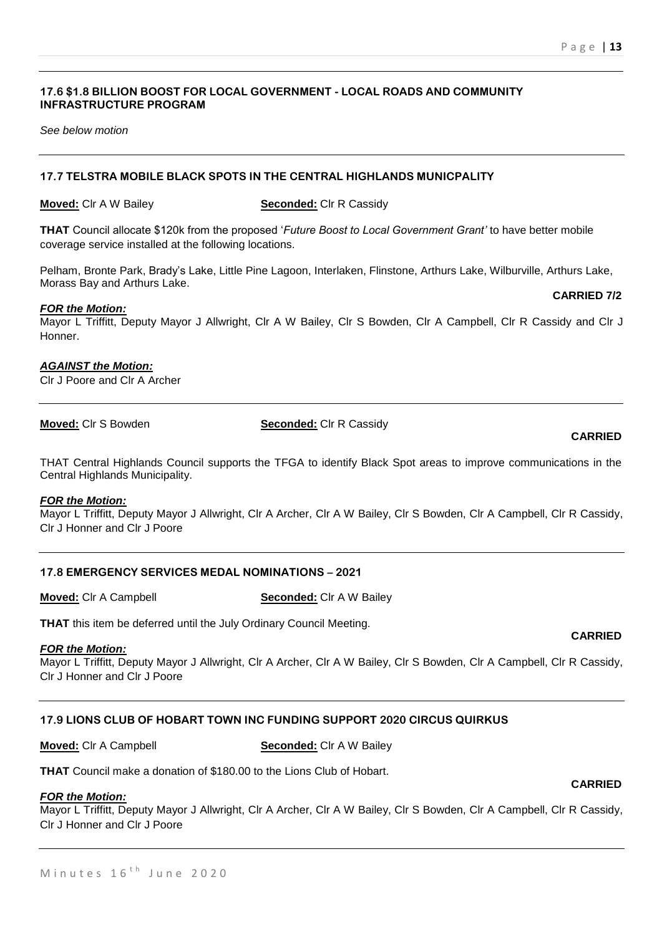# **17.6 \$1.8 BILLION BOOST FOR LOCAL GOVERNMENT - LOCAL ROADS AND COMMUNITY INFRASTRUCTURE PROGRAM**

*See below motion*

#### **17.7 TELSTRA MOBILE BLACK SPOTS IN THE CENTRAL HIGHLANDS MUNICPALITY**

**Moved:** Clr A W Bailey **Seconded:** Clr R Cassidy

**THAT** Council allocate \$120k from the proposed '*Future Boost to Local Government Grant'* to have better mobile coverage service installed at the following locations.

Pelham, Bronte Park, Brady's Lake, Little Pine Lagoon, Interlaken, Flinstone, Arthurs Lake, Wilburville, Arthurs Lake, Morass Bay and Arthurs Lake.

### *FOR the Motion:*

Mayor L Triffitt, Deputy Mayor J Allwright, Clr A W Bailey, Clr S Bowden, Clr A Campbell, Clr R Cassidy and Clr J Honner.

### *AGAINST the Motion:*

Clr J Poore and Clr A Archer

**Moved:** Clr S Bowden **Seconded:** Clr R Cassidy

THAT Central Highlands Council supports the TFGA to identify Black Spot areas to improve communications in the Central Highlands Municipality.

#### *FOR the Motion:*

Mayor L Triffitt, Deputy Mayor J Allwright, Clr A Archer, Clr A W Bailey, Clr S Bowden, Clr A Campbell, Clr R Cassidy, Clr J Honner and Clr J Poore

# **17.8 EMERGENCY SERVICES MEDAL NOMINATIONS – 2021**

**Moved:** Clr A Campbell **Seconded:** Clr A W Bailey

**THAT** this item be deferred until the July Ordinary Council Meeting.

#### *FOR the Motion:*

Mayor L Triffitt, Deputy Mayor J Allwright, Clr A Archer, Clr A W Bailey, Clr S Bowden, Clr A Campbell, Clr R Cassidy, Clr J Honner and Clr J Poore

# **17.9 LIONS CLUB OF HOBART TOWN INC FUNDING SUPPORT 2020 CIRCUS QUIRKUS**

**Moved:** Clr A Campbell **Seconded:** Clr A W Bailey

**THAT** Council make a donation of \$180.00 to the Lions Club of Hobart.

#### *FOR the Motion:*

Mayor L Triffitt, Deputy Mayor J Allwright, Clr A Archer, Clr A W Bailey, Clr S Bowden, Clr A Campbell, Clr R Cassidy, Clr J Honner and Clr J Poore

# **CARRIED**

# **CARRIED 7/2**

# **CARRIED**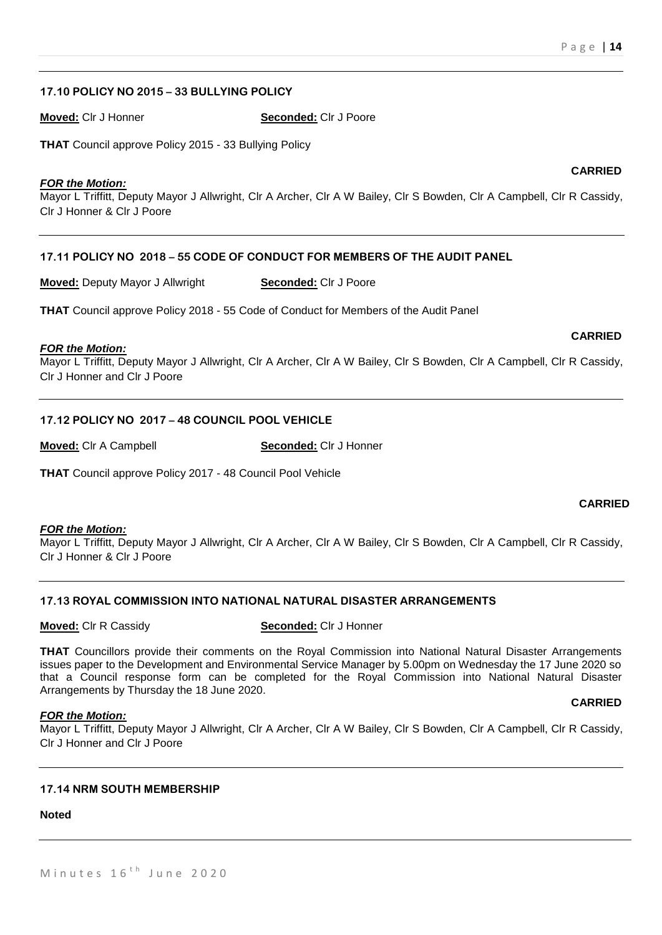### **17.10 POLICY NO 2015 – 33 BULLYING POLICY**

**Moved:** Clr J Honner **Seconded:** Clr J Poore

**THAT** Council approve Policy 2015 - 33 Bullying Policy

### *FOR the Motion:*

Mayor L Triffitt, Deputy Mayor J Allwright, Clr A Archer, Clr A W Bailey, Clr S Bowden, Clr A Campbell, Clr R Cassidy, Clr J Honner & Clr J Poore

# **17.11 POLICY NO 2018 – 55 CODE OF CONDUCT FOR MEMBERS OF THE AUDIT PANEL**

**Moved:** Deputy Mayor J Allwright **Seconded:** Clr J Poore

**THAT** Council approve Policy 2018 - 55 Code of Conduct for Members of the Audit Panel

#### *FOR the Motion:*

Mayor L Triffitt, Deputy Mayor J Allwright, Clr A Archer, Clr A W Bailey, Clr S Bowden, Clr A Campbell, Clr R Cassidy, Clr J Honner and Clr J Poore

# **17.12 POLICY NO 2017 – 48 COUNCIL POOL VEHICLE**

**Moved:** Clr A Campbell **Seconded:** Clr J Honner

**THAT** Council approve Policy 2017 - 48 Council Pool Vehicle

#### *FOR the Motion:*

Mayor L Triffitt, Deputy Mayor J Allwright, Clr A Archer, Clr A W Bailey, Clr S Bowden, Clr A Campbell, Clr R Cassidy, Clr J Honner & Clr J Poore

# **17.13 ROYAL COMMISSION INTO NATIONAL NATURAL DISASTER ARRANGEMENTS**

**Moved:** Clr R Cassidy **Seconded:** Clr J Honner

**THAT** Councillors provide their comments on the Royal Commission into National Natural Disaster Arrangements issues paper to the Development and Environmental Service Manager by 5.00pm on Wednesday the 17 June 2020 so that a Council response form can be completed for the Royal Commission into National Natural Disaster Arrangements by Thursday the 18 June 2020.

#### *FOR the Motion:*

Mayor L Triffitt, Deputy Mayor J Allwright, Clr A Archer, Clr A W Bailey, Clr S Bowden, Clr A Campbell, Clr R Cassidy, Clr J Honner and Clr J Poore

#### **17.14 NRM SOUTH MEMBERSHIP**

**Noted**

# **CARRIED**

#### **CARRIED**

**CARRIED**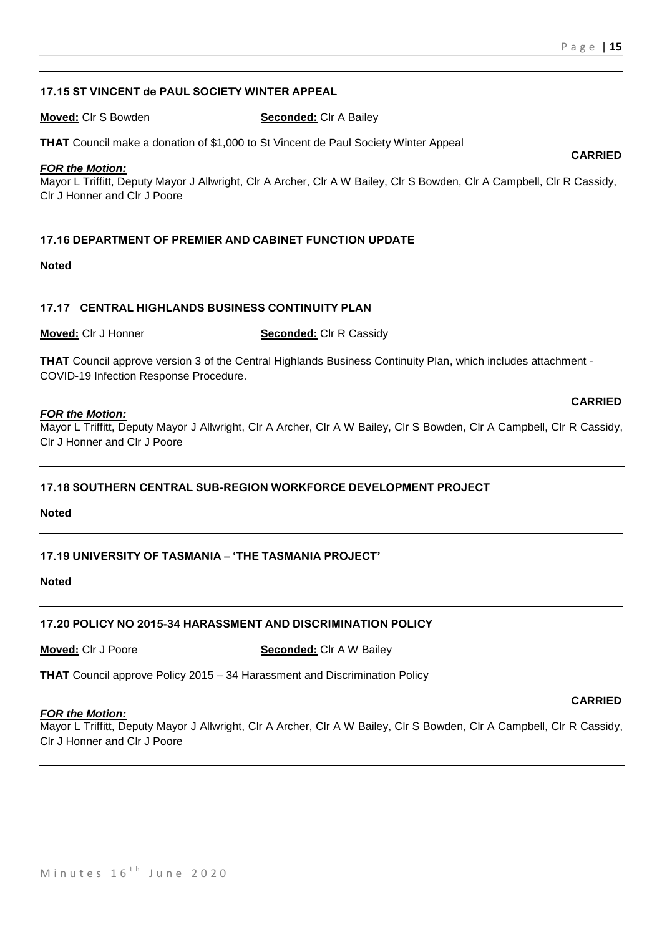# **17.15 ST VINCENT de PAUL SOCIETY WINTER APPEAL**

**Moved:** Clr S Bowden **Seconded:** Clr A Bailey

**THAT** Council make a donation of \$1,000 to St Vincent de Paul Society Winter Appeal

# *FOR the Motion:*

Mayor L Triffitt, Deputy Mayor J Allwright, Clr A Archer, Clr A W Bailey, Clr S Bowden, Clr A Campbell, Clr R Cassidy, Clr J Honner and Clr J Poore

# **17.16 DEPARTMENT OF PREMIER AND CABINET FUNCTION UPDATE**

# **Noted**

# **17.17 CENTRAL HIGHLANDS BUSINESS CONTINUITY PLAN**

**Moved:** Clr J Honner **Seconded:** Clr R Cassidy

**THAT** Council approve version 3 of the Central Highlands Business Continuity Plan, which includes attachment - COVID-19 Infection Response Procedure.

### *FOR the Motion:*

Mayor L Triffitt, Deputy Mayor J Allwright, Clr A Archer, Clr A W Bailey, Clr S Bowden, Clr A Campbell, Clr R Cassidy, Clr J Honner and Clr J Poore

# **17.18 SOUTHERN CENTRAL SUB-REGION WORKFORCE DEVELOPMENT PROJECT**

**Noted**

# **17.19 UNIVERSITY OF TASMANIA – 'THE TASMANIA PROJECT'**

**Noted**

# **17.20 POLICY NO 2015-34 HARASSMENT AND DISCRIMINATION POLICY**

**Moved:** Clr J Poore **Seconded:** Clr A W Bailey

**THAT** Council approve Policy 2015 – 34 Harassment and Discrimination Policy

# *FOR the Motion:*

Mayor L Triffitt, Deputy Mayor J Allwright, Clr A Archer, Clr A W Bailey, Clr S Bowden, Clr A Campbell, Clr R Cassidy, Clr J Honner and Clr J Poore

# **CARRIED**

# **CARRIED**